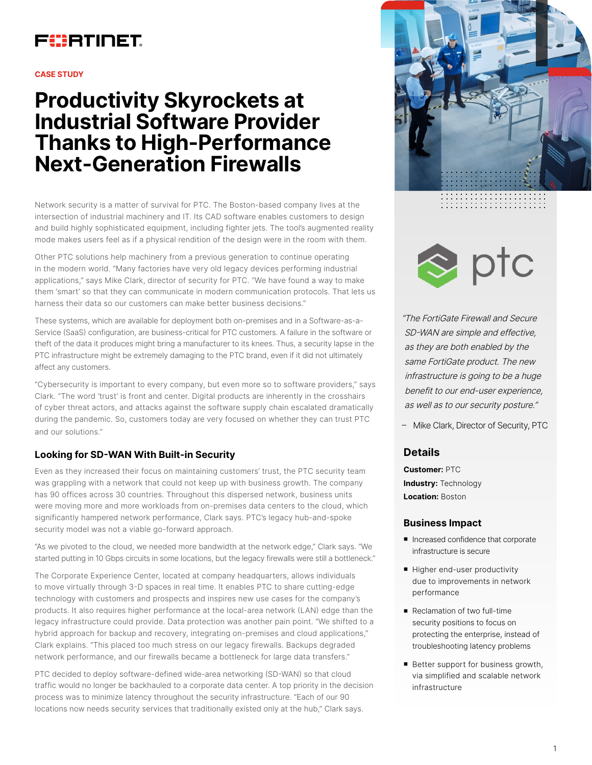

#### **CASE STUDY**

# **Productivity Skyrockets at Industrial Software Provider Thanks to High-Performance Next-Generation Firewalls**

Network security is a matter of survival for PTC. The Boston-based company lives at the intersection of industrial machinery and IT. Its CAD software enables customers to design and build highly sophisticated equipment, including fighter jets. The tool's augmented reality mode makes users feel as if a physical rendition of the design were in the room with them.

Other PTC solutions help machinery from a previous generation to continue operating in the modern world. "Many factories have very old legacy devices performing industrial applications," says Mike Clark, director of security for PTC. "We have found a way to make them 'smart' so that they can communicate in modern communication protocols. That lets us harness their data so our customers can make better business decisions."

These systems, which are available for deployment both on-premises and in a Software-as-a-Service (SaaS) configuration, are business-critical for PTC customers. A failure in the software or theft of the data it produces might bring a manufacturer to its knees. Thus, a security lapse in the PTC infrastructure might be extremely damaging to the PTC brand, even if it did not ultimately affect any customers.

"Cybersecurity is important to every company, but even more so to software providers," says Clark. "The word 'trust' is front and center. Digital products are inherently in the crosshairs of cyber threat actors, and attacks against the software supply chain escalated dramatically during the pandemic. So, customers today are very focused on whether they can trust PTC and our solutions."

## **Looking for SD-WAN With Built-in Security**

Even as they increased their focus on maintaining customers' trust, the PTC security team was grappling with a network that could not keep up with business growth. The company has 90 offices across 30 countries. Throughout this dispersed network, business units were moving more and more workloads from on-premises data centers to the cloud, which significantly hampered network performance, Clark says. PTC's legacy hub-and-spoke security model was not a viable go-forward approach.

"As we pivoted to the cloud, we needed more bandwidth at the network edge," Clark says. "We started putting in 10 Gbps circuits in some locations, but the legacy firewalls were still a bottleneck."

The Corporate Experience Center, located at company headquarters, allows individuals to move virtually through 3-D spaces in real time. It enables PTC to share cutting-edge technology with customers and prospects and inspires new use cases for the company's products. It also requires higher performance at the local-area network (LAN) edge than the legacy infrastructure could provide. Data protection was another pain point. "We shifted to a hybrid approach for backup and recovery, integrating on-premises and cloud applications," Clark explains. "This placed too much stress on our legacy firewalls. Backups degraded network performance, and our firewalls became a bottleneck for large data transfers."

PTC decided to deploy software-defined wide-area networking (SD-WAN) so that cloud traffic would no longer be backhauled to a corporate data center. A top priority in the decision process was to minimize latency throughout the security infrastructure. "Each of our 90 locations now needs security services that traditionally existed only at the hub," Clark says.





"The FortiGate Firewall and Secure SD-WAN are simple and effective, as they are both enabled by the same FortiGate product. The new infrastructure is going to be a huge benefit to our end-user experience, as well as to our security posture."

– Mike Clark, Director of Security, PTC

# **Details**

**Customer:** PTC **Industry:** Technology **Location:** Boston

## **Business Impact**

- Increased confidence that corporate infrastructure is secure
- Higher end-user productivity due to improvements in network performance
- Reclamation of two full-time security positions to focus on protecting the enterprise, instead of troubleshooting latency problems
- Better support for business growth, via simplified and scalable network infrastructure